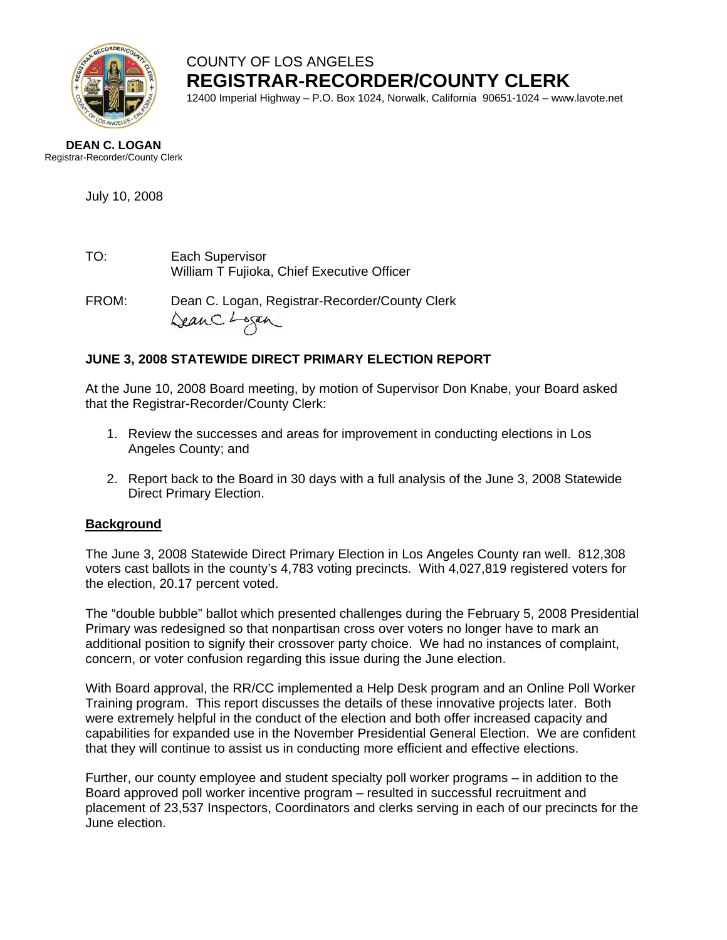

COUNTY OF LOS ANGELES **REGISTRAR-RECORDER/COUNTY CLERK**

12400 Imperial Highway – P.O. Box 1024, Norwalk, California 90651-1024 – www.lavote.net

#### **DEAN C. LOGAN** Registrar-Recorder/County Clerk

July 10, 2008

TO: Each Supervisor William T Fujioka, Chief Executive Officer

FROM:Dean C. Logan, Registrar-Recorder/County Clerk

# **JUNE 3, 2008 STATEWIDE DIRECT PRIMARY ELECTION REPORT**

At the June 10, 2008 Board meeting, by motion of Supervisor Don Knabe, your Board asked that the Registrar-Recorder/County Clerk:

- 1. Review the successes and areas for improvement in conducting elections in Los Angeles County; and
- 2. Report back to the Board in 30 days with a full analysis of the June 3, 2008 Statewide Direct Primary Election.

## **Background**

The June 3, 2008 Statewide Direct Primary Election in Los Angeles County ran well. 812,308 voters cast ballots in the county's 4,783 voting precincts. With 4,027,819 registered voters for the election, 20.17 percent voted.

The "double bubble" ballot which presented challenges during the February 5, 2008 Presidential Primary was redesigned so that nonpartisan cross over voters no longer have to mark an additional position to signify their crossover party choice. We had no instances of complaint, concern, or voter confusion regarding this issue during the June election.

With Board approval, the RR/CC implemented a Help Desk program and an Online Poll Worker Training program. This report discusses the details of these innovative projects later. Both were extremely helpful in the conduct of the election and both offer increased capacity and capabilities for expanded use in the November Presidential General Election. We are confident that they will continue to assist us in conducting more efficient and effective elections.

Further, our county employee and student specialty poll worker programs – in addition to the Board approved poll worker incentive program – resulted in successful recruitment and placement of 23,537 Inspectors, Coordinators and clerks serving in each of our precincts for the June election.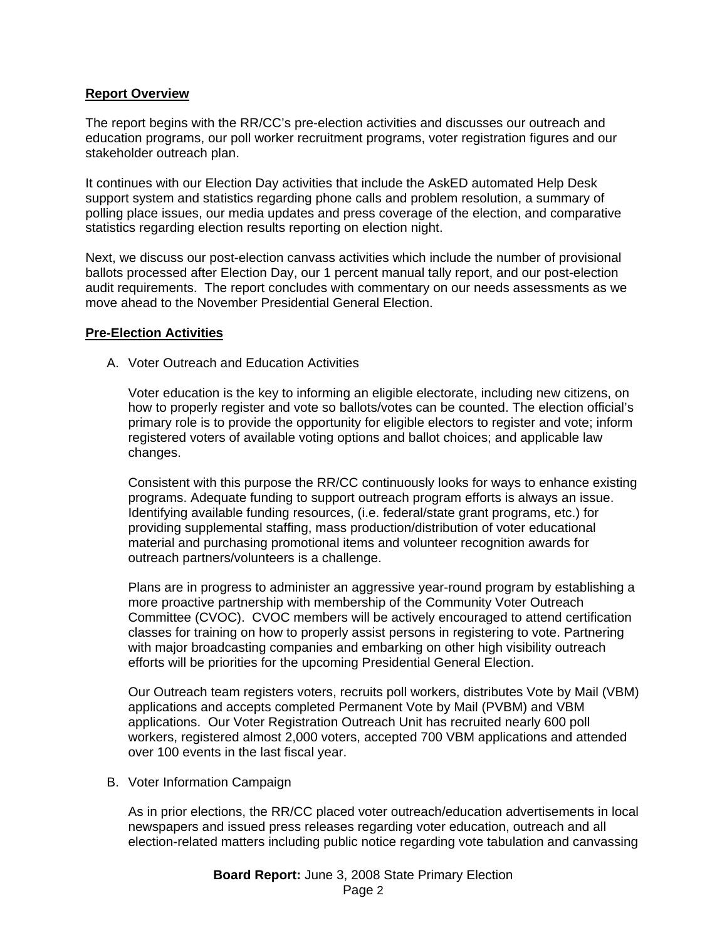#### **Report Overview**

The report begins with the RR/CC's pre-election activities and discusses our outreach and education programs, our poll worker recruitment programs, voter registration figures and our stakeholder outreach plan.

It continues with our Election Day activities that include the AskED automated Help Desk support system and statistics regarding phone calls and problem resolution, a summary of polling place issues, our media updates and press coverage of the election, and comparative statistics regarding election results reporting on election night.

Next, we discuss our post-election canvass activities which include the number of provisional ballots processed after Election Day, our 1 percent manual tally report, and our post-election audit requirements. The report concludes with commentary on our needs assessments as we move ahead to the November Presidential General Election.

#### **Pre-Election Activities**

A. Voter Outreach and Education Activities

Voter education is the key to informing an eligible electorate, including new citizens, on how to properly register and vote so ballots/votes can be counted. The election official's primary role is to provide the opportunity for eligible electors to register and vote; inform registered voters of available voting options and ballot choices; and applicable law changes.

Consistent with this purpose the RR/CC continuously looks for ways to enhance existing programs. Adequate funding to support outreach program efforts is always an issue. Identifying available funding resources, (i.e. federal/state grant programs, etc.) for providing supplemental staffing, mass production/distribution of voter educational material and purchasing promotional items and volunteer recognition awards for outreach partners/volunteers is a challenge.

Plans are in progress to administer an aggressive year-round program by establishing a more proactive partnership with membership of the Community Voter Outreach Committee (CVOC). CVOC members will be actively encouraged to attend certification classes for training on how to properly assist persons in registering to vote. Partnering with major broadcasting companies and embarking on other high visibility outreach efforts will be priorities for the upcoming Presidential General Election.

Our Outreach team registers voters, recruits poll workers, distributes Vote by Mail (VBM) applications and accepts completed Permanent Vote by Mail (PVBM) and VBM applications. Our Voter Registration Outreach Unit has recruited nearly 600 poll workers, registered almost 2,000 voters, accepted 700 VBM applications and attended over 100 events in the last fiscal year.

B. Voter Information Campaign

As in prior elections, the RR/CC placed voter outreach/education advertisements in local newspapers and issued press releases regarding voter education, outreach and all election-related matters including public notice regarding vote tabulation and canvassing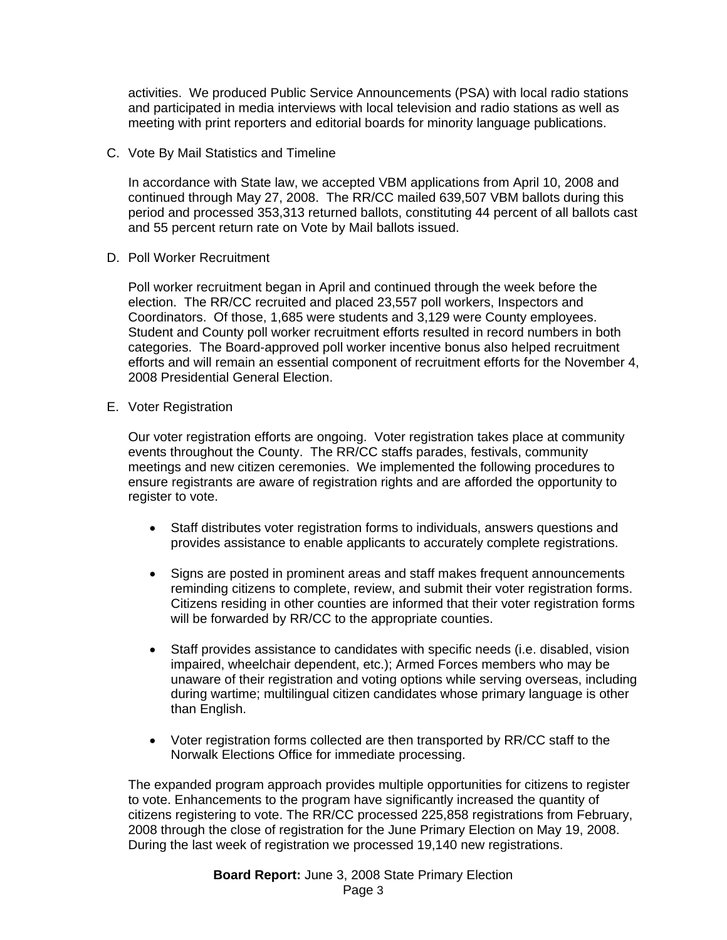activities. We produced Public Service Announcements (PSA) with local radio stations and participated in media interviews with local television and radio stations as well as meeting with print reporters and editorial boards for minority language publications.

C. Vote By Mail Statistics and Timeline

In accordance with State law, we accepted VBM applications from April 10, 2008 and continued through May 27, 2008. The RR/CC mailed 639,507 VBM ballots during this period and processed 353,313 returned ballots, constituting 44 percent of all ballots cast and 55 percent return rate on Vote by Mail ballots issued.

D. Poll Worker Recruitment

Poll worker recruitment began in April and continued through the week before the election. The RR/CC recruited and placed 23,557 poll workers, Inspectors and Coordinators. Of those, 1,685 were students and 3,129 were County employees. Student and County poll worker recruitment efforts resulted in record numbers in both categories. The Board-approved poll worker incentive bonus also helped recruitment efforts and will remain an essential component of recruitment efforts for the November 4, 2008 Presidential General Election.

E. Voter Registration

Our voter registration efforts are ongoing. Voter registration takes place at community events throughout the County. The RR/CC staffs parades, festivals, community meetings and new citizen ceremonies. We implemented the following procedures to ensure registrants are aware of registration rights and are afforded the opportunity to register to vote.

- Staff distributes voter registration forms to individuals, answers questions and provides assistance to enable applicants to accurately complete registrations.
- Signs are posted in prominent areas and staff makes frequent announcements reminding citizens to complete, review, and submit their voter registration forms. Citizens residing in other counties are informed that their voter registration forms will be forwarded by RR/CC to the appropriate counties.
- Staff provides assistance to candidates with specific needs (i.e. disabled, vision impaired, wheelchair dependent, etc.); Armed Forces members who may be unaware of their registration and voting options while serving overseas, including during wartime; multilingual citizen candidates whose primary language is other than English.
- Voter registration forms collected are then transported by RR/CC staff to the Norwalk Elections Office for immediate processing.

The expanded program approach provides multiple opportunities for citizens to register to vote. Enhancements to the program have significantly increased the quantity of citizens registering to vote. The RR/CC processed 225,858 registrations from February, 2008 through the close of registration for the June Primary Election on May 19, 2008. During the last week of registration we processed 19,140 new registrations.

> **Board Report:** June 3, 2008 State Primary Election Page 3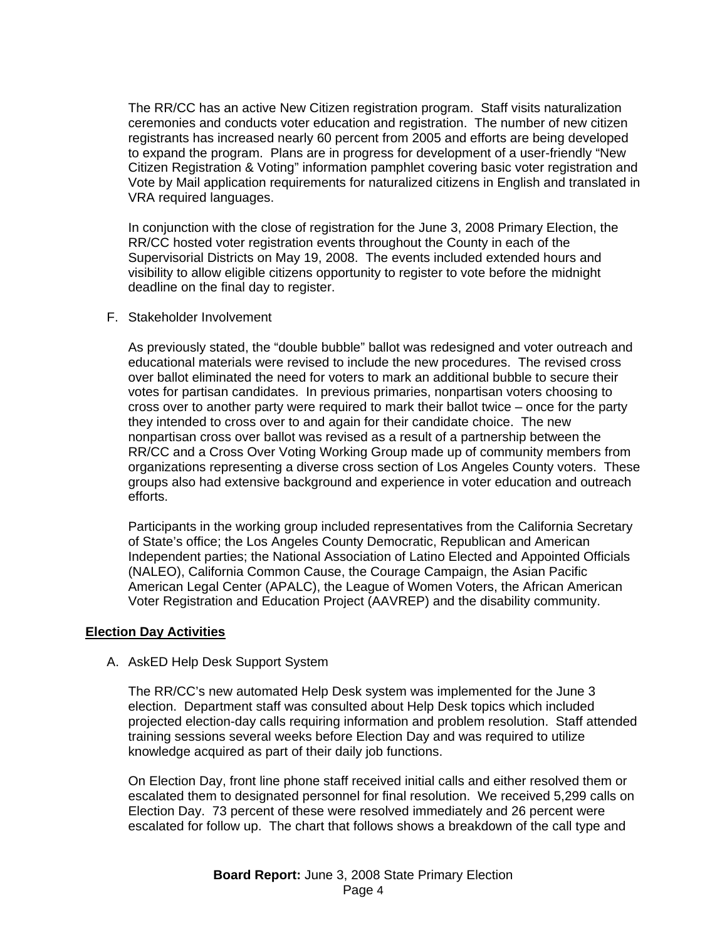The RR/CC has an active New Citizen registration program. Staff visits naturalization ceremonies and conducts voter education and registration. The number of new citizen registrants has increased nearly 60 percent from 2005 and efforts are being developed to expand the program. Plans are in progress for development of a user-friendly "New Citizen Registration & Voting" information pamphlet covering basic voter registration and Vote by Mail application requirements for naturalized citizens in English and translated in VRA required languages.

In conjunction with the close of registration for the June 3, 2008 Primary Election, the RR/CC hosted voter registration events throughout the County in each of the Supervisorial Districts on May 19, 2008. The events included extended hours and visibility to allow eligible citizens opportunity to register to vote before the midnight deadline on the final day to register.

#### F. Stakeholder Involvement

As previously stated, the "double bubble" ballot was redesigned and voter outreach and educational materials were revised to include the new procedures. The revised cross over ballot eliminated the need for voters to mark an additional bubble to secure their votes for partisan candidates. In previous primaries, nonpartisan voters choosing to cross over to another party were required to mark their ballot twice – once for the party they intended to cross over to and again for their candidate choice. The new nonpartisan cross over ballot was revised as a result of a partnership between the RR/CC and a Cross Over Voting Working Group made up of community members from organizations representing a diverse cross section of Los Angeles County voters. These groups also had extensive background and experience in voter education and outreach efforts.

Participants in the working group included representatives from the California Secretary of State's office; the Los Angeles County Democratic, Republican and American Independent parties; the National Association of Latino Elected and Appointed Officials (NALEO), California Common Cause, the Courage Campaign, the Asian Pacific American Legal Center (APALC), the League of Women Voters, the African American Voter Registration and Education Project (AAVREP) and the disability community.

#### **Election Day Activities**

#### A. AskED Help Desk Support System

The RR/CC's new automated Help Desk system was implemented for the June 3 election. Department staff was consulted about Help Desk topics which included projected election-day calls requiring information and problem resolution. Staff attended training sessions several weeks before Election Day and was required to utilize knowledge acquired as part of their daily job functions.

On Election Day, front line phone staff received initial calls and either resolved them or escalated them to designated personnel for final resolution. We received 5,299 calls on Election Day. 73 percent of these were resolved immediately and 26 percent were escalated for follow up. The chart that follows shows a breakdown of the call type and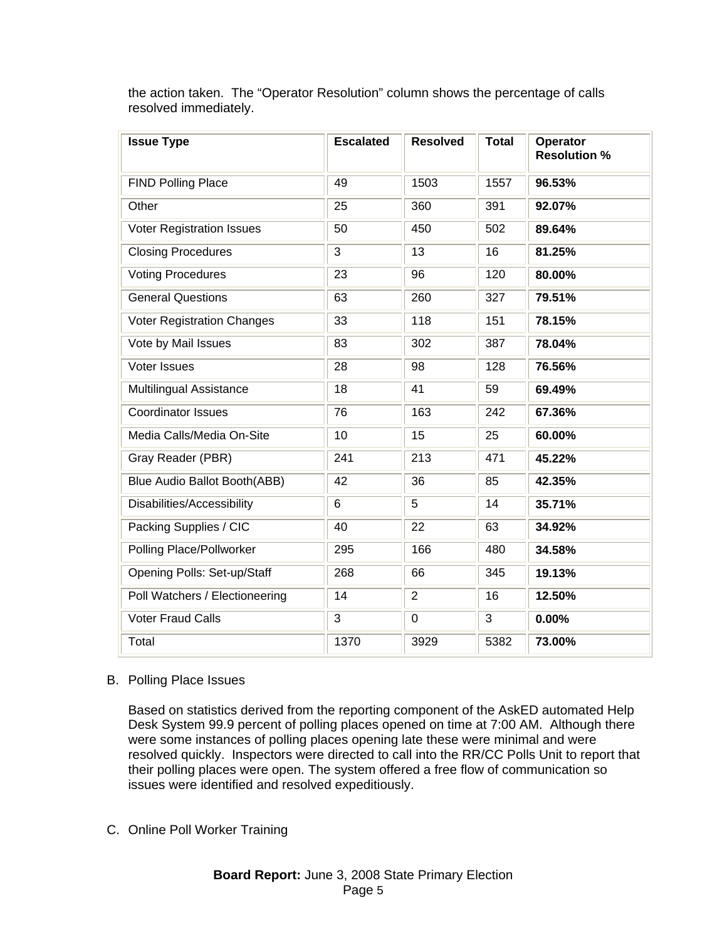| <b>Issue Type</b>                 | <b>Escalated</b> | <b>Resolved</b> | <b>Total</b> | Operator<br><b>Resolution %</b> |
|-----------------------------------|------------------|-----------------|--------------|---------------------------------|
| <b>FIND Polling Place</b>         | 49               | 1503            | 1557         | 96.53%                          |
| Other                             | 25               | 360             | 391          | 92.07%                          |
| <b>Voter Registration Issues</b>  | 50               | 450             | 502          | 89.64%                          |
| <b>Closing Procedures</b>         | 3                | 13              | 16           | 81.25%                          |
| <b>Voting Procedures</b>          | 23               | 96              | 120          | 80.00%                          |
| <b>General Questions</b>          | 63               | 260             | 327          | 79.51%                          |
| <b>Voter Registration Changes</b> | 33               | 118             | 151          | 78.15%                          |
| Vote by Mail Issues               | 83               | 302             | 387          | 78.04%                          |
| Voter Issues                      | 28               | 98              | 128          | 76.56%                          |
| <b>Multilingual Assistance</b>    | 18               | 41              | 59           | 69.49%                          |
| <b>Coordinator Issues</b>         | 76               | 163             | 242          | 67.36%                          |
| Media Calls/Media On-Site         | 10               | 15              | 25           | 60.00%                          |
| Gray Reader (PBR)                 | 241              | 213             | 471          | 45.22%                          |
| Blue Audio Ballot Booth(ABB)      | 42               | 36              | 85           | 42.35%                          |
| Disabilities/Accessibility        | 6                | 5               | 14           | 35.71%                          |
| Packing Supplies / CIC            | 40               | 22              | 63           | 34.92%                          |
| Polling Place/Pollworker          | 295              | 166             | 480          | 34.58%                          |
| Opening Polls: Set-up/Staff       | 268              | 66              | 345          | 19.13%                          |
| Poll Watchers / Electioneering    | 14               | $\overline{2}$  | 16           | 12.50%                          |
| <b>Voter Fraud Calls</b>          | 3                | $\mathbf 0$     | 3            | 0.00%                           |
| Total                             | 1370             | 3929            | 5382         | 73.00%                          |

the action taken. The "Operator Resolution" column shows the percentage of calls resolved immediately.

#### B. Polling Place Issues

Based on statistics derived from the reporting component of the AskED automated Help Desk System 99.9 percent of polling places opened on time at 7:00 AM. Although there were some instances of polling places opening late these were minimal and were resolved quickly. Inspectors were directed to call into the RR/CC Polls Unit to report that their polling places were open. The system offered a free flow of communication so issues were identified and resolved expeditiously.

## C. Online Poll Worker Training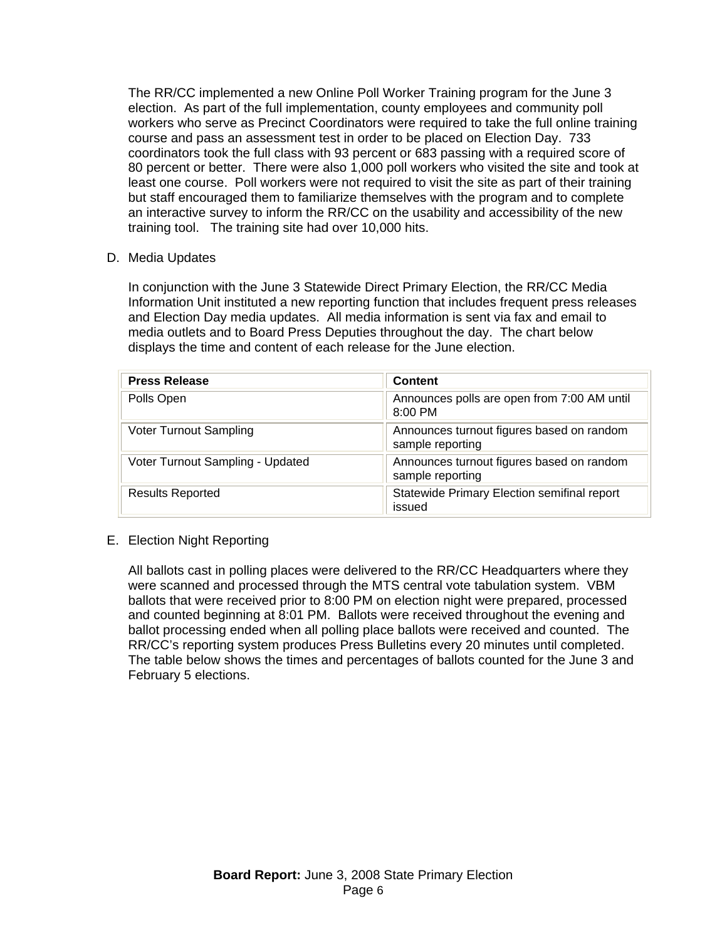The RR/CC implemented a new Online Poll Worker Training program for the June 3 election. As part of the full implementation, county employees and community poll workers who serve as Precinct Coordinators were required to take the full online training course and pass an assessment test in order to be placed on Election Day. 733 coordinators took the full class with 93 percent or 683 passing with a required score of 80 percent or better. There were also 1,000 poll workers who visited the site and took at least one course. Poll workers were not required to visit the site as part of their training but staff encouraged them to familiarize themselves with the program and to complete an interactive survey to inform the RR/CC on the usability and accessibility of the new training tool. The training site had over 10,000 hits.

D. Media Updates

In conjunction with the June 3 Statewide Direct Primary Election, the RR/CC Media Information Unit instituted a new reporting function that includes frequent press releases and Election Day media updates. All media information is sent via fax and email to media outlets and to Board Press Deputies throughout the day. The chart below displays the time and content of each release for the June election.

| <b>Press Release</b>             | <b>Content</b>                                                |
|----------------------------------|---------------------------------------------------------------|
| Polls Open                       | Announces polls are open from 7:00 AM until<br>8:00 PM        |
| Voter Turnout Sampling           | Announces turnout figures based on random<br>sample reporting |
| Voter Turnout Sampling - Updated | Announces turnout figures based on random<br>sample reporting |
| <b>Results Reported</b>          | Statewide Primary Election semifinal report<br>issued         |

## E. Election Night Reporting

All ballots cast in polling places were delivered to the RR/CC Headquarters where they were scanned and processed through the MTS central vote tabulation system. VBM ballots that were received prior to 8:00 PM on election night were prepared, processed and counted beginning at 8:01 PM. Ballots were received throughout the evening and ballot processing ended when all polling place ballots were received and counted. The RR/CC's reporting system produces Press Bulletins every 20 minutes until completed. The table below shows the times and percentages of ballots counted for the June 3 and February 5 elections.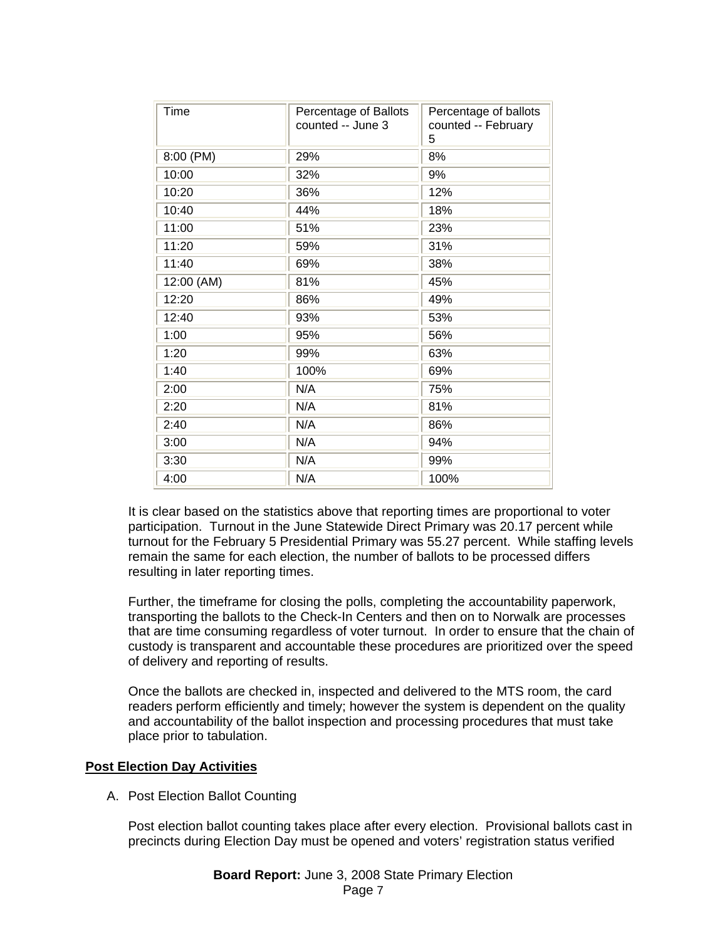| <b>Time</b> | Percentage of Ballots<br>counted -- June 3 | Percentage of ballots<br>counted -- February<br>5 |
|-------------|--------------------------------------------|---------------------------------------------------|
| 8:00 (PM)   | 29%                                        | 8%                                                |
| 10:00       | 32%                                        | 9%                                                |
| 10:20       | 36%                                        | 12%                                               |
| 10:40       | 44%                                        | 18%                                               |
| 11:00       | 51%                                        | 23%                                               |
| 11:20       | 59%                                        | 31%                                               |
| 11:40       | 69%                                        | 38%                                               |
| 12:00 (AM)  | 81%                                        | 45%                                               |
| 12:20       | 86%                                        | 49%                                               |
| 12:40       | 93%                                        | 53%                                               |
| 1:00        | 95%                                        | 56%                                               |
| 1:20        | 99%                                        | 63%                                               |
| 1:40        | 100%                                       | 69%                                               |
| 2:00        | N/A                                        | 75%                                               |
| 2:20        | N/A                                        | 81%                                               |
| 2:40        | N/A                                        | 86%                                               |
| 3:00        | N/A                                        | 94%                                               |
| 3:30        | N/A                                        | 99%                                               |
| 4:00        | N/A                                        | 100%                                              |

It is clear based on the statistics above that reporting times are proportional to voter participation. Turnout in the June Statewide Direct Primary was 20.17 percent while turnout for the February 5 Presidential Primary was 55.27 percent. While staffing levels remain the same for each election, the number of ballots to be processed differs resulting in later reporting times.

Further, the timeframe for closing the polls, completing the accountability paperwork, transporting the ballots to the Check-In Centers and then on to Norwalk are processes that are time consuming regardless of voter turnout. In order to ensure that the chain of custody is transparent and accountable these procedures are prioritized over the speed of delivery and reporting of results.

Once the ballots are checked in, inspected and delivered to the MTS room, the card readers perform efficiently and timely; however the system is dependent on the quality and accountability of the ballot inspection and processing procedures that must take place prior to tabulation.

## **Post Election Day Activities**

A. Post Election Ballot Counting

Post election ballot counting takes place after every election. Provisional ballots cast in precincts during Election Day must be opened and voters' registration status verified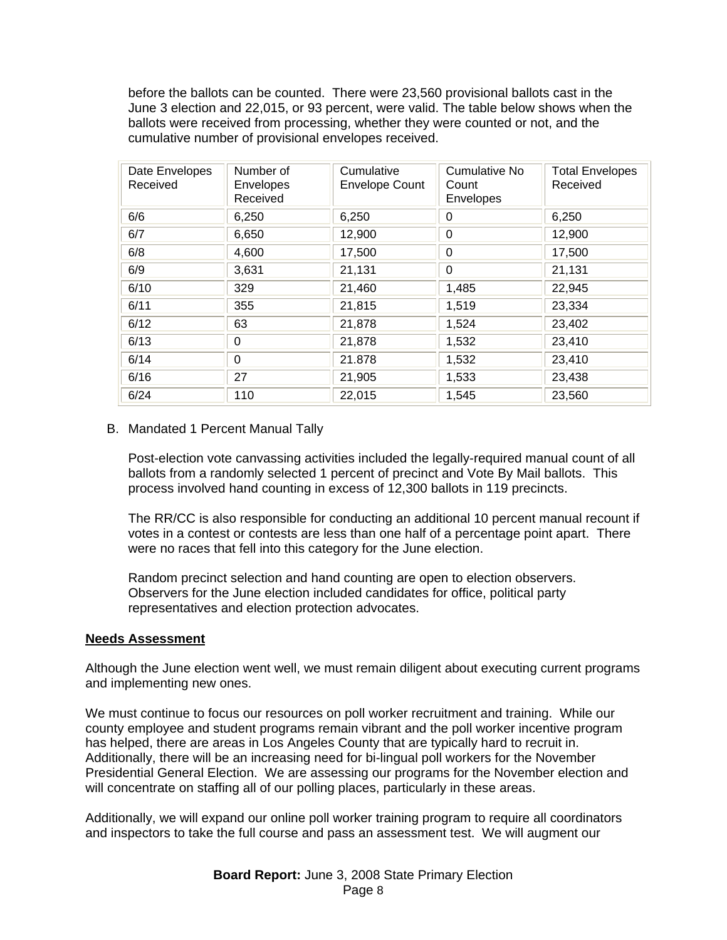before the ballots can be counted. There were 23,560 provisional ballots cast in the June 3 election and 22,015, or 93 percent, were valid. The table below shows when the ballots were received from processing, whether they were counted or not, and the cumulative number of provisional envelopes received.

| Date Envelopes<br>Received | Number of<br>Envelopes<br>Received | Cumulative<br><b>Envelope Count</b> | Cumulative No<br>Count<br>Envelopes | <b>Total Envelopes</b><br>Received |
|----------------------------|------------------------------------|-------------------------------------|-------------------------------------|------------------------------------|
| 6/6                        | 6,250                              | 6,250                               | $\Omega$                            | 6,250                              |
| 6/7                        | 6,650                              | 12,900                              | $\Omega$                            | 12,900                             |
| 6/8                        | 4,600                              | 17,500                              | $\mathbf{0}$                        | 17,500                             |
| 6/9                        | 3,631                              | 21,131                              | $\Omega$                            | 21,131                             |
| 6/10                       | 329                                | 21,460                              | 1,485                               | 22,945                             |
| 6/11                       | 355                                | 21,815                              | 1,519                               | 23,334                             |
| 6/12                       | 63                                 | 21,878                              | 1,524                               | 23,402                             |
| 6/13                       | 0                                  | 21,878                              | 1,532                               | 23,410                             |
| 6/14                       | $\Omega$                           | 21.878                              | 1,532                               | 23,410                             |
| 6/16                       | 27                                 | 21,905                              | 1,533                               | 23,438                             |
| 6/24                       | 110                                | 22,015                              | 1,545                               | 23,560                             |

### B. Mandated 1 Percent Manual Tally

Post-election vote canvassing activities included the legally-required manual count of all ballots from a randomly selected 1 percent of precinct and Vote By Mail ballots. This process involved hand counting in excess of 12,300 ballots in 119 precincts.

The RR/CC is also responsible for conducting an additional 10 percent manual recount if votes in a contest or contests are less than one half of a percentage point apart. There were no races that fell into this category for the June election.

Random precinct selection and hand counting are open to election observers. Observers for the June election included candidates for office, political party representatives and election protection advocates.

#### **Needs Assessment**

Although the June election went well, we must remain diligent about executing current programs and implementing new ones.

We must continue to focus our resources on poll worker recruitment and training. While our county employee and student programs remain vibrant and the poll worker incentive program has helped, there are areas in Los Angeles County that are typically hard to recruit in. Additionally, there will be an increasing need for bi-lingual poll workers for the November Presidential General Election. We are assessing our programs for the November election and will concentrate on staffing all of our polling places, particularly in these areas.

Additionally, we will expand our online poll worker training program to require all coordinators and inspectors to take the full course and pass an assessment test. We will augment our